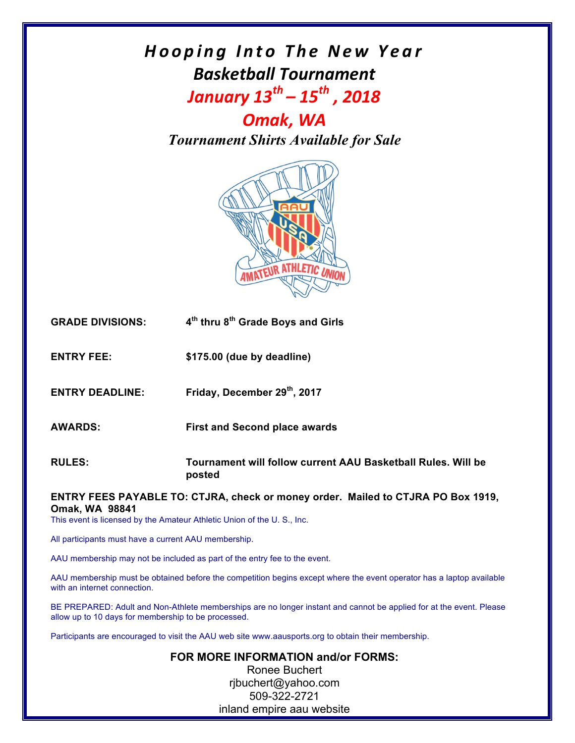## *Hooping Into The New Year Basketball Tournament January*  $13^{th}$  –  $15^{th}$ , 2018

*Omak, WA Tournament Shirts Available for Sale*



| <b>GRADE DIVISIONS:</b> | 4 <sup>th</sup> thru 8 <sup>th</sup> Grade Boys and Girls |
|-------------------------|-----------------------------------------------------------|
|-------------------------|-----------------------------------------------------------|

**ENTRY FEE: \$175.00 (due by deadline)**

**ENTRY DEADLINE: Friday, December 29th, 2017**

**AWARDS: First and Second place awards**

**RULES: Tournament will follow current AAU Basketball Rules. Will be posted**

**ENTRY FEES PAYABLE TO: CTJRA, check or money order. Mailed to CTJRA PO Box 1919, Omak, WA 98841** 

This event is licensed by the Amateur Athletic Union of the U. S., Inc.

All participants must have a current AAU membership.

AAU membership may not be included as part of the entry fee to the event.

AAU membership must be obtained before the competition begins except where the event operator has a laptop available with an internet connection.

BE PREPARED: Adult and Non-Athlete memberships are no longer instant and cannot be applied for at the event. Please allow up to 10 days for membership to be processed.

Participants are encouraged to visit the AAU web site www.aausports.org to obtain their membership.

**FOR MORE INFORMATION and/or FORMS:** Ronee Buchert rjbuchert@yahoo.com 509-322-2721 inland empire aau website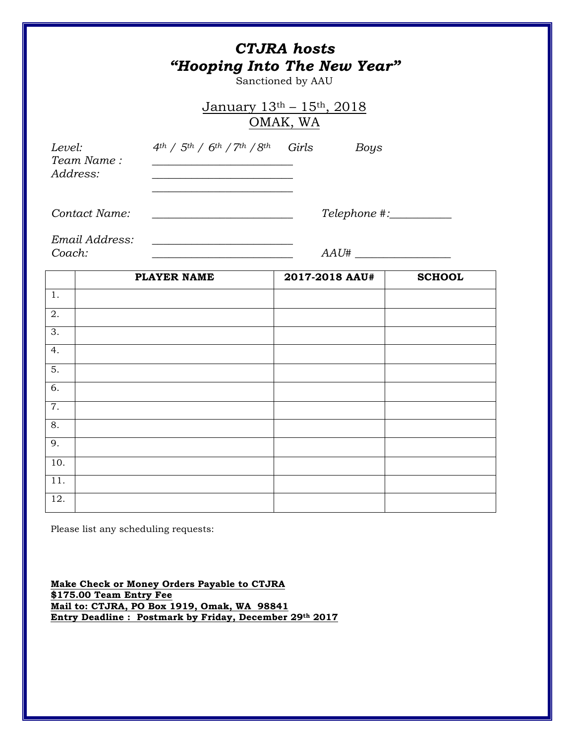|                                          |                                                                                                                           | <b>CTJRA</b> hosts<br>"Hooping Into The New Year"<br>Sanctioned by AAU |               |  |
|------------------------------------------|---------------------------------------------------------------------------------------------------------------------------|------------------------------------------------------------------------|---------------|--|
| January $13th - 15th$ , 2018<br>OMAK, WA |                                                                                                                           |                                                                        |               |  |
| Level:<br>Team Name:<br>Address:         | $4th$ / $5th$ / $6th$ / $7th$ / $8th$ Girls<br>the control of the control of the control of the control of the control of | Boys                                                                   |               |  |
| Contact Name:                            | Telephone #:__________<br><u> 1989 - Johann Barbara, martxa amerikan personal (h. 1989).</u>                              |                                                                        |               |  |
| Email Address:<br>Coach:                 |                                                                                                                           | $AAU\#$                                                                |               |  |
|                                          | <b>PLAYER NAME</b>                                                                                                        | 2017-2018 AAU#                                                         | <b>SCHOOL</b> |  |
| 1.<br>2.                                 |                                                                                                                           |                                                                        |               |  |
| 3.                                       |                                                                                                                           |                                                                        |               |  |
| 4.                                       |                                                                                                                           |                                                                        |               |  |
| 5.                                       |                                                                                                                           |                                                                        |               |  |
| 6.                                       |                                                                                                                           |                                                                        |               |  |
| 7.                                       |                                                                                                                           |                                                                        |               |  |
| 8.                                       |                                                                                                                           |                                                                        |               |  |
| 9.                                       |                                                                                                                           |                                                                        |               |  |
| 10.                                      |                                                                                                                           |                                                                        |               |  |
| $\overline{11}$ .                        |                                                                                                                           |                                                                        |               |  |
| 12.                                      |                                                                                                                           |                                                                        |               |  |

Please list any scheduling requests:

**Make Check or Money Orders Payable to CTJRA \$175.00 Team Entry Fee Mail to: CTJRA, PO Box 1919, Omak, WA 98841 Entry Deadline : Postmark by Friday, December 29th 2017**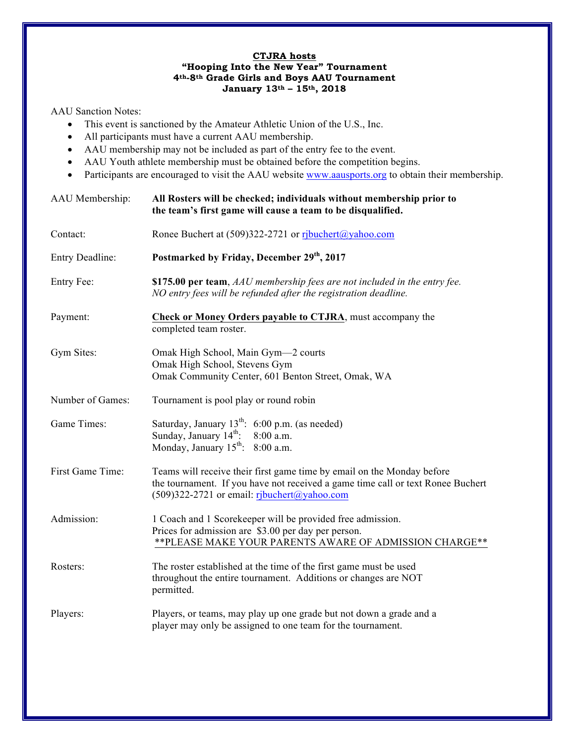## **CTJRA hosts "Hooping Into the New Year" Tournament 4th-8th Grade Girls and Boys AAU Tournament January 13th – 15th, 2018**

AAU Sanction Notes:

- This event is sanctioned by the Amateur Athletic Union of the U.S., Inc.
- All participants must have a current AAU membership.
- AAU membership may not be included as part of the entry fee to the event.
- AAU Youth athlete membership must be obtained before the competition begins.
- Participants are encouraged to visit the AAU website www.aausports.org to obtain their membership.

| AAU Membership:  | All Rosters will be checked; individuals without membership prior to<br>the team's first game will cause a team to be disqualified.                                                                      |  |
|------------------|----------------------------------------------------------------------------------------------------------------------------------------------------------------------------------------------------------|--|
| Contact:         | Ronee Buchert at (509)322-2721 or ribuchert@yahoo.com                                                                                                                                                    |  |
| Entry Deadline:  | Postmarked by Friday, December 29th, 2017                                                                                                                                                                |  |
| Entry Fee:       | \$175.00 per team, AAU membership fees are not included in the entry fee.<br>NO entry fees will be refunded after the registration deadline.                                                             |  |
| Payment:         | Check or Money Orders payable to CTJRA, must accompany the<br>completed team roster.                                                                                                                     |  |
| Gym Sites:       | Omak High School, Main Gym-2 courts<br>Omak High School, Stevens Gym<br>Omak Community Center, 601 Benton Street, Omak, WA                                                                               |  |
| Number of Games: | Tournament is pool play or round robin                                                                                                                                                                   |  |
| Game Times:      | Saturday, January $13^{th}$ : 6:00 p.m. (as needed)<br>Sunday, January $14^{\text{th}}$ .<br>8:00 a.m.<br>Monday, January $15^{th}$ : 8:00 a.m.                                                          |  |
| First Game Time: | Teams will receive their first game time by email on the Monday before<br>the tournament. If you have not received a game time call or text Ronee Buchert<br>(509)322-2721 or email: ribuchert@yahoo.com |  |
| Admission:       | 1 Coach and 1 Scorekeeper will be provided free admission.<br>Prices for admission are \$3.00 per day per person.<br>** PLEASE MAKE YOUR PARENTS AWARE OF ADMISSION CHARGE **                            |  |
| Rosters:         | The roster established at the time of the first game must be used<br>throughout the entire tournament. Additions or changes are NOT<br>permitted.                                                        |  |
| Players:         | Players, or teams, may play up one grade but not down a grade and a<br>player may only be assigned to one team for the tournament.                                                                       |  |